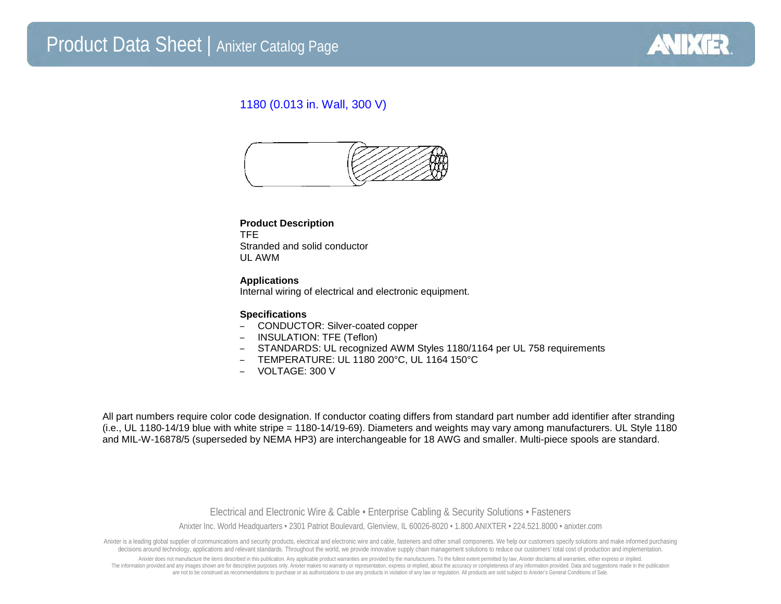

## 1180 (0.013 in. Wall, 300 V)



#### **Product Description** TFE Stranded and solid conductor UL AWM

**Applications** Internal wiring of electrical and electronic equipment.

### **Specifications**

- CONDUCTOR: Silver-coated copper
- INSULATION: TFE (Teflon)
- STANDARDS: UL recognized AWM Styles 1180/1164 per UL 758 requirements
- TEMPERATURE: UL 1180 200°C, UL 1164 150°C
- VOLTAGE: 300 V

All part numbers require color code designation. If conductor coating differs from standard part number add identifier after stranding (i.e., UL 1180-14/19 blue with white stripe = 1180-14/19-69). Diameters and weights may vary among manufacturers. UL Style 1180 and MIL-W-16878/5 (superseded by NEMA HP3) are interchangeable for 18 AWG and smaller. Multi-piece spools are standard.

> Electrical and Electronic Wire & Cable • Enterprise Cabling & Security Solutions • Fasteners Anixter Inc. World Headquarters • 2301 Patriot Boulevard, Glenview, IL 60026-8020 • 1.800.ANIXTER • 224.521.8000 • anixter.com

Anixter is a leading global supplier of communications and security products, electrical and electronic wire and cable, fasteners and other small components. We help our customers specify solutions and make informed purcha decisions around technology, applications and relevant standards. Throughout the world, we provide innovative supply chain management solutions to reduce our customers' total cost of production and implementation.

Anixter does not manufacture the items described in this publication. Any applicable product warranties are provided by the manufacturers. To the fullest extent permitted by law, Anixter disclaims all warranties, either ex The information provided and any images shown are for descriptive purposes only. Anixter makes no warranty or representation, express or implied, about the accuracy or completeness of any information provided. Data and sug are not to be construed as recommendations to purchase or as authorizations to use any products in violation of any law or regulation. All products are sold subject to Anixter's General Conditions of Sale.